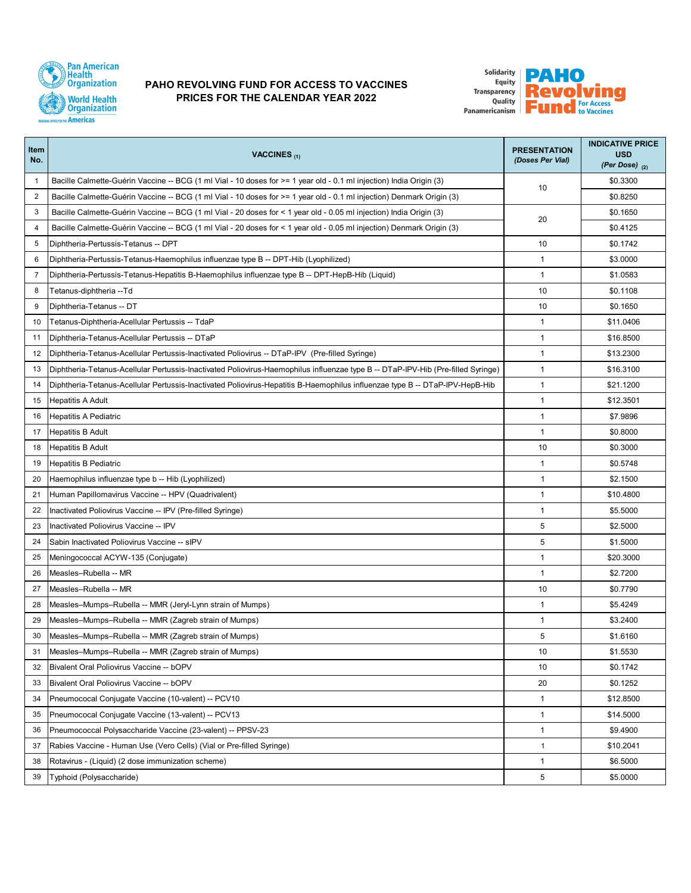

## **PAHO REVOLVING FUND FOR ACCESS TO VACCINES PRICES FOR THE CALENDAR YEAR 2022**



| Item<br>No.    | VACCINES <sub>(1)</sub>                                                                                                          | <b>PRESENTATION</b><br>(Doses Per Vial) | <b>INDICATIVE PRICE</b><br><b>USD</b><br>(Per Dose) $(2)$ |
|----------------|----------------------------------------------------------------------------------------------------------------------------------|-----------------------------------------|-----------------------------------------------------------|
| $\mathbf{1}$   | Bacille Calmette-Guérin Vaccine -- BCG (1 ml Vial - 10 doses for >= 1 year old - 0.1 ml injection) India Origin (3)              | 10                                      | \$0.3300                                                  |
| 2              | Bacille Calmette-Guérin Vaccine -- BCG (1 ml Vial - 10 doses for >= 1 year old - 0.1 ml injection) Denmark Origin (3)            |                                         | \$0.8250                                                  |
| 3              | Bacille Calmette-Guérin Vaccine -- BCG (1 ml Vial - 20 doses for < 1 year old - 0.05 ml injection) India Origin (3)              | 20                                      | \$0.1650                                                  |
| 4              | Bacille Calmette-Guérin Vaccine -- BCG (1 ml Vial - 20 doses for < 1 year old - 0.05 ml injection) Denmark Origin (3)            |                                         | \$0.4125                                                  |
| 5              | Diphtheria-Pertussis-Tetanus -- DPT                                                                                              | 10                                      | \$0.1742                                                  |
| 6              | Diphtheria-Pertussis-Tetanus-Haemophilus influenzae type B -- DPT-Hib (Lyophilized)                                              | $\mathbf{1}$                            | \$3.0000                                                  |
| $\overline{7}$ | Diphtheria-Pertussis-Tetanus-Hepatitis B-Haemophilus influenzae type B -- DPT-HepB-Hib (Liquid)                                  | $\mathbf{1}$                            | \$1.0583                                                  |
| 8              | Tetanus-diphtheria --Td                                                                                                          | 10                                      | \$0.1108                                                  |
| 9              | Diphtheria-Tetanus -- DT                                                                                                         | 10                                      | \$0.1650                                                  |
| 10             | Tetanus-Diphtheria-Acellular Pertussis -- TdaP                                                                                   | 1                                       | \$11.0406                                                 |
| 11             | Diphtheria-Tetanus-Acellular Pertussis -- DTaP                                                                                   | $\mathbf{1}$                            | \$16.8500                                                 |
| 12             | Diphtheria-Tetanus-Acellular Pertussis-Inactivated Poliovirus -- DTaP-IPV (Pre-filled Syringe)                                   | $\mathbf{1}$                            | \$13.2300                                                 |
| 13             | Diphtheria-Tetanus-Acellular Pertussis-Inactivated Poliovirus-Haemophilus influenzae type B -- DTaP-IPV-Hib (Pre-filled Syringe) | $\mathbf{1}$                            | \$16.3100                                                 |
| 14             | Diphtheria-Tetanus-Acellular Pertussis-Inactivated Poliovirus-Hepatitis B-Haemophilus influenzae type B -- DTaP-IPV-HepB-Hib     | $\mathbf{1}$                            | \$21.1200                                                 |
| 15             | <b>Hepatitis A Adult</b>                                                                                                         | $\mathbf{1}$                            | \$12.3501                                                 |
| 16             | Hepatitis A Pediatric                                                                                                            | $\mathbf{1}$                            | \$7.9896                                                  |
| 17             | <b>Hepatitis B Adult</b>                                                                                                         | $\mathbf{1}$                            | \$0.8000                                                  |
| 18             | <b>Hepatitis B Adult</b>                                                                                                         | 10                                      | \$0.3000                                                  |
| 19             | Hepatitis B Pediatric                                                                                                            | $\mathbf{1}$                            | \$0.5748                                                  |
| 20             | Haemophilus influenzae type b -- Hib (Lyophilized)                                                                               | $\mathbf{1}$                            | \$2.1500                                                  |
| 21             | Human Papillomavirus Vaccine -- HPV (Quadrivalent)                                                                               | $\mathbf{1}$                            | \$10.4800                                                 |
| 22             | Inactivated Poliovirus Vaccine -- IPV (Pre-filled Syringe)                                                                       | $\mathbf{1}$                            | \$5.5000                                                  |
| 23             | Inactivated Poliovirus Vaccine -- IPV                                                                                            | 5                                       | \$2.5000                                                  |
| 24             | Sabin Inactivated Poliovirus Vaccine -- sIPV                                                                                     | 5                                       | \$1.5000                                                  |
| 25             | Meningococcal ACYW-135 (Conjugate)                                                                                               | $\mathbf{1}$                            | \$20.3000                                                 |
| 26             | Measles-Rubella -- MR                                                                                                            | $\mathbf{1}$                            | \$2.7200                                                  |
| 27             | Measles-Rubella -- MR                                                                                                            | 10                                      | \$0.7790                                                  |
| 28             | Measles-Mumps-Rubella -- MMR (Jeryl-Lynn strain of Mumps)                                                                        | $\mathbf{1}$                            | \$5.4249                                                  |
| 29             | Measles-Mumps-Rubella -- MMR (Zagreb strain of Mumps)                                                                            | 1                                       | \$3.2400                                                  |
| 30             | Measles-Mumps-Rubella -- MMR (Zagreb strain of Mumps)                                                                            | 5                                       | \$1.6160                                                  |
| 31             | Measles-Mumps-Rubella -- MMR (Zagreb strain of Mumps)                                                                            | 10                                      | \$1.5530                                                  |
| 32             | Bivalent Oral Poliovirus Vaccine -- bOPV                                                                                         | 10                                      | \$0.1742                                                  |
| 33             | Bivalent Oral Poliovirus Vaccine -- bOPV                                                                                         | 20                                      | \$0.1252                                                  |
| 34             | Pneumococal Conjugate Vaccine (10-valent) -- PCV10                                                                               | $\mathbf{1}$                            | \$12.8500                                                 |
| 35             | Pneumococal Conjugate Vaccine (13-valent) -- PCV13                                                                               | $\mathbf{1}$                            | \$14.5000                                                 |
| 36             | Pneumococcal Polysaccharide Vaccine (23-valent) -- PPSV-23                                                                       | $\mathbf{1}$                            | \$9.4900                                                  |
| 37             | Rabies Vaccine - Human Use (Vero Cells) (Vial or Pre-filled Syringe)                                                             | $\mathbf{1}$                            | \$10.2041                                                 |
| 38             | Rotavirus - (Liquid) (2 dose immunization scheme)                                                                                | $\mathbf{1}$                            | \$6.5000                                                  |
| 39             | Typhoid (Polysaccharide)                                                                                                         | 5                                       | \$5.0000                                                  |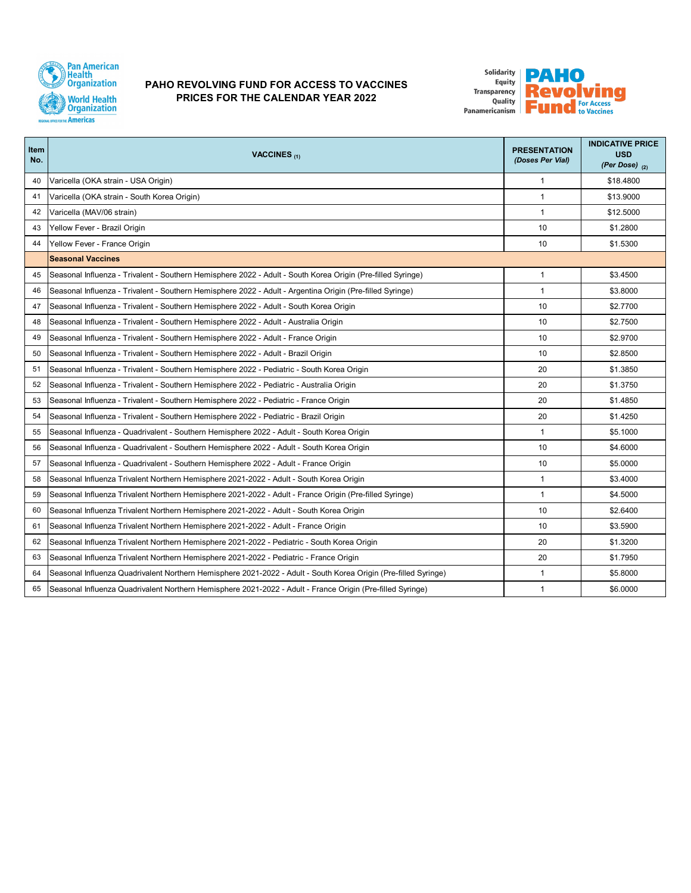

## **PAHO REVOLVING FUND FOR ACCESS TO VACCINES PRICES FOR THE CALENDAR YEAR 2022**



| Item<br>No. | VACCINES <sub>(1)</sub>                                                                                         | <b>PRESENTATION</b><br>(Doses Per Vial) | <b>INDICATIVE PRICE</b><br><b>USD</b><br>(Per Dose) $(2)$ |
|-------------|-----------------------------------------------------------------------------------------------------------------|-----------------------------------------|-----------------------------------------------------------|
| 40          | Varicella (OKA strain - USA Origin)                                                                             | $\mathbf{1}$                            | \$18.4800                                                 |
| 41          | Varicella (OKA strain - South Korea Origin)                                                                     | $\mathbf{1}$                            | \$13.9000                                                 |
| 42          | Varicella (MAV/06 strain)                                                                                       | $\mathbf{1}$                            | \$12.5000                                                 |
| 43          | Yellow Fever - Brazil Origin                                                                                    | 10                                      | \$1.2800                                                  |
| 44          | Yellow Fever - France Origin                                                                                    | 10                                      | \$1.5300                                                  |
|             | <b>Seasonal Vaccines</b>                                                                                        |                                         |                                                           |
| 45          | Seasonal Influenza - Trivalent - Southern Hemisphere 2022 - Adult - South Korea Origin (Pre-filled Syringe)     | $\mathbf{1}$                            | \$3.4500                                                  |
| 46          | Seasonal Influenza - Trivalent - Southern Hemisphere 2022 - Adult - Argentina Origin (Pre-filled Syringe)       | 1                                       | \$3.8000                                                  |
| 47          | Seasonal Influenza - Trivalent - Southern Hemisphere 2022 - Adult - South Korea Origin                          | 10                                      | \$2.7700                                                  |
| 48          | Seasonal Influenza - Trivalent - Southern Hemisphere 2022 - Adult - Australia Origin                            | 10                                      | \$2.7500                                                  |
| 49          | Seasonal Influenza - Trivalent - Southern Hemisphere 2022 - Adult - France Origin                               | 10                                      | \$2,9700                                                  |
| 50          | Seasonal Influenza - Trivalent - Southern Hemisphere 2022 - Adult - Brazil Origin                               | 10                                      | \$2,8500                                                  |
| 51          | Seasonal Influenza - Trivalent - Southern Hemisphere 2022 - Pediatric - South Korea Origin                      | 20                                      | \$1,3850                                                  |
| 52          | Seasonal Influenza - Trivalent - Southern Hemisphere 2022 - Pediatric - Australia Origin                        | 20                                      | \$1.3750                                                  |
| 53          | Seasonal Influenza - Trivalent - Southern Hemisphere 2022 - Pediatric - France Origin                           | 20                                      | \$1.4850                                                  |
| 54          | Seasonal Influenza - Trivalent - Southern Hemisphere 2022 - Pediatric - Brazil Origin                           | 20                                      | \$1.4250                                                  |
| 55          | Seasonal Influenza - Quadrivalent - Southern Hemisphere 2022 - Adult - South Korea Origin                       | $\mathbf{1}$                            | \$5.1000                                                  |
| 56          | Seasonal Influenza - Quadrivalent - Southern Hemisphere 2022 - Adult - South Korea Origin                       | 10                                      | \$4,6000                                                  |
| 57          | Seasonal Influenza - Quadrivalent - Southern Hemisphere 2022 - Adult - France Origin                            | 10                                      | \$5.0000                                                  |
| 58          | Seasonal Influenza Trivalent Northern Hemisphere 2021-2022 - Adult - South Korea Origin                         | 1                                       | \$3.4000                                                  |
| 59          | Seasonal Influenza Trivalent Northern Hemisphere 2021-2022 - Adult - France Origin (Pre-filled Syringe)         | $\mathbf{1}$                            | \$4.5000                                                  |
| 60          | Seasonal Influenza Trivalent Northern Hemisphere 2021-2022 - Adult - South Korea Origin                         | 10                                      | \$2.6400                                                  |
| 61          | Seasonal Influenza Trivalent Northern Hemisphere 2021-2022 - Adult - France Origin                              | 10                                      | \$3.5900                                                  |
| 62          | Seasonal Influenza Trivalent Northern Hemisphere 2021-2022 - Pediatric - South Korea Origin                     | 20                                      | \$1.3200                                                  |
| 63          | Seasonal Influenza Trivalent Northern Hemisphere 2021-2022 - Pediatric - France Origin                          | 20                                      | \$1.7950                                                  |
| 64          | Seasonal Influenza Quadrivalent Northern Hemisphere 2021-2022 - Adult - South Korea Origin (Pre-filled Syringe) | $\mathbf{1}$                            | \$5.8000                                                  |
| 65          | Seasonal Influenza Quadrivalent Northern Hemisphere 2021-2022 - Adult - France Origin (Pre-filled Syringe)      | $\mathbf{1}$                            | \$6,0000                                                  |